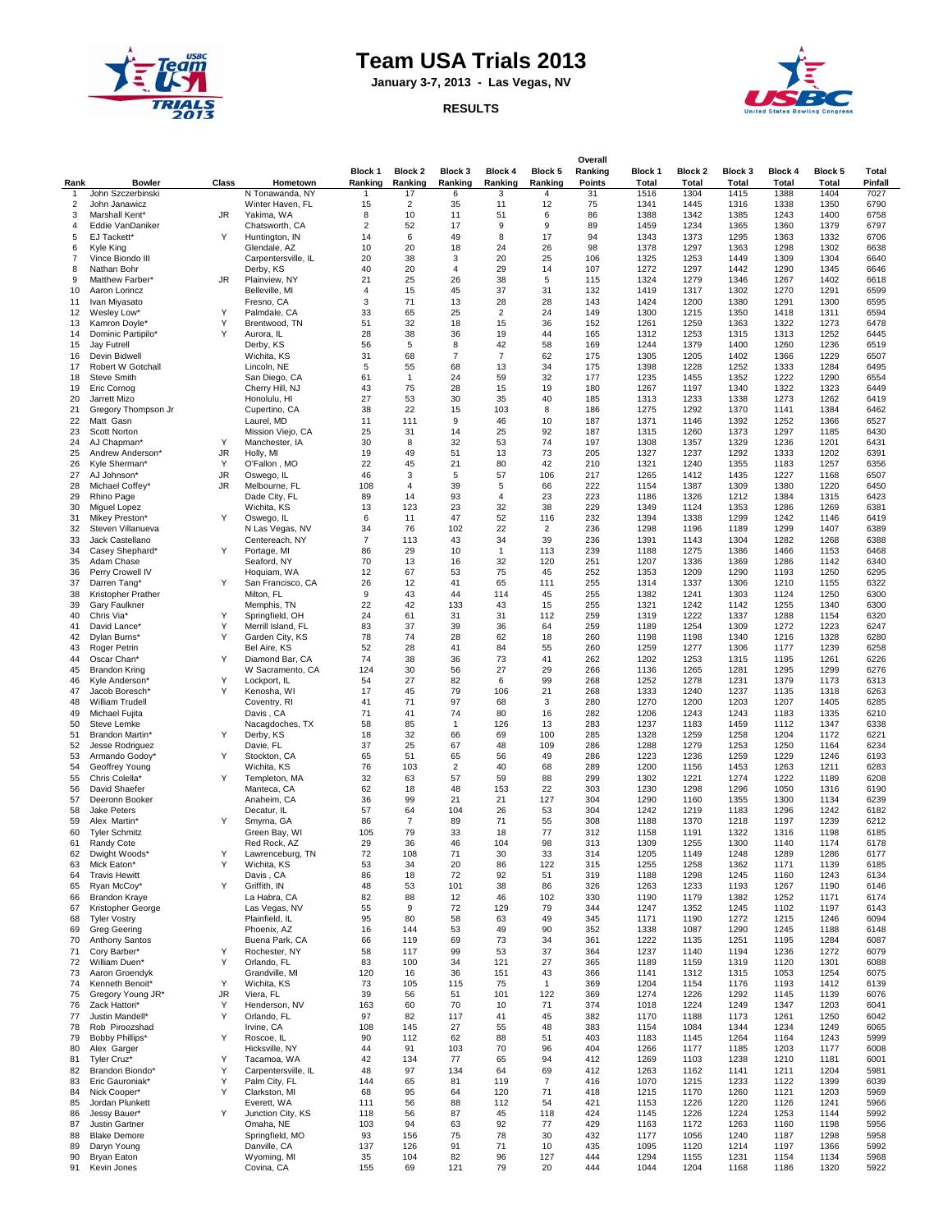

## **Team USA Trials 2013**

**January 3-7, 2013 - Las Vegas, NV**





| Rank                | <b>Bowler</b>                       | Class          | Hometown                         | Block 1<br>Ranking | Block 2<br>Ranking   | Block 3<br>Ranking  | Block 4<br>Ranking | Block 5<br>Ranking   | Overall<br>Ranking<br>Points | <b>Block 1</b><br>Total | Block 2<br>Total | Block 3<br>Total | Block 4<br><b>Total</b> | Block 5<br>Total | Total<br>Pinfall |
|---------------------|-------------------------------------|----------------|----------------------------------|--------------------|----------------------|---------------------|--------------------|----------------------|------------------------------|-------------------------|------------------|------------------|-------------------------|------------------|------------------|
| -1                  | John Szczerbinski<br>John Janawicz  |                | N Tonawanda, NY                  | 1                  | 17                   | 6                   | 3                  | 4                    | 31                           | 1516                    | 1304             | 1415             | 1388                    | 1404             | 7027             |
| $\overline{2}$<br>3 | Marshall Kent*                      | JR             | Winter Haven, FL<br>Yakima, WA   | 15<br>8            | $\overline{2}$<br>10 | 35<br>11            | 11<br>51           | 12<br>6              | 75<br>86                     | 1341<br>1388            | 1445<br>1342     | 1316<br>1385     | 1338<br>1243            | 1350<br>1400     | 6790<br>6758     |
| 4                   | Eddie VanDaniker                    |                | Chatsworth, CA                   | $\overline{2}$     | 52                   | 17                  | 9                  | 9                    | 89                           | 1459                    | 1234             | 1365             | 1360                    | 1379             | 6797             |
| 5                   | EJ Tackett*                         | Υ              | Huntington, IN                   | 14                 | 6                    | 49                  | 8                  | 17                   | 94                           | 1343                    | 1373             | 1295             | 1363                    | 1332             | 6706             |
| 6                   | Kyle King                           |                | Glendale, AZ                     | 10                 | 20                   | 18                  | 24                 | 26                   | 98                           | 1378                    | 1297             | 1363             | 1298                    | 1302             | 6638             |
| 7<br>8              | Vince Biondo III<br>Nathan Bohr     |                | Carpentersville, IL<br>Derby, KS | 20<br>40           | 38<br>20             | 3<br>$\overline{4}$ | 20<br>29           | 25<br>14             | 106<br>107                   | 1325<br>1272            | 1253<br>1297     | 1449<br>1442     | 1309<br>1290            | 1304<br>1345     | 6640<br>6646     |
| 9                   | Matthew Farber*                     | JR.            | Plainview, NY                    | 21                 | 25                   | 26                  | 38                 | 5                    | 115                          | 1324                    | 1279             | 1346             | 1267                    | 1402             | 6618             |
| 10                  | Aaron Lorincz                       |                | Belleville, MI                   | 4                  | 15                   | 45                  | 37                 | 31                   | 132                          | 1419                    | 1317             | 1302             | 1270                    | 1291             | 6599             |
| 11                  | Ivan Miyasato                       |                | Fresno, CA                       | 3                  | 71                   | 13                  | 28                 | 28                   | 143                          | 1424                    | 1200             | 1380             | 1291                    | 1300             | 6595             |
| 12                  | Wesley Low*                         | Y              | Palmdale, CA                     | 33                 | 65                   | 25                  | 2                  | 24                   | 149                          | 1300                    | 1215             | 1350             | 1418                    | 1311             | 6594             |
| 13<br>14            | Kamron Doyle*<br>Dominic Partipilo* | Υ<br>Y         | Brentwood, TN<br>Aurora, IL      | 51<br>28           | 32<br>38             | 18<br>36            | 15<br>19           | 36<br>44             | 152<br>165                   | 1261<br>1312            | 1259<br>1253     | 1363<br>1315     | 1322<br>1313            | 1273<br>1252     | 6478<br>6445     |
| 15                  | Jay Futrell                         |                | Derby, KS                        | 56                 | 5                    | 8                   | 42                 | 58                   | 169                          | 1244                    | 1379             | 1400             | 1260                    | 1236             | 6519             |
| 16                  | Devin Bidwell                       |                | Wichita, KS                      | 31                 | 68                   | $\overline{7}$      | $\overline{7}$     | 62                   | 175                          | 1305                    | 1205             | 1402             | 1366                    | 1229             | 6507             |
| 17                  | Robert W Gotchall                   |                | Lincoln, NE                      | 5                  | 55                   | 68                  | 13                 | 34                   | 175                          | 1398                    | 1228             | 1252             | 1333                    | 1284             | 6495             |
| 18<br>19            | <b>Steve Smith</b>                  |                | San Diego, CA                    | 61<br>43           | $\mathbf{1}$<br>75   | 24<br>28            | 59<br>15           | 32<br>19             | 177<br>180                   | 1235<br>1267            | 1455<br>1197     | 1352<br>1340     | 1222<br>1322            | 1290<br>1323     | 6554<br>6449     |
| 20                  | Eric Cornog<br>Jarrett Mizo         |                | Cherry Hill, NJ<br>Honolulu, HI  | 27                 | 53                   | 30                  | 35                 | 40                   | 185                          | 1313                    | 1233             | 1338             | 1273                    | 1262             | 6419             |
| 21                  | Gregory Thompson Jr                 |                | Cupertino, CA                    | 38                 | 22                   | 15                  | 103                | 8                    | 186                          | 1275                    | 1292             | 1370             | 1141                    | 1384             | 6462             |
| 22                  | Matt Gasn                           |                | Laurel, MD                       | 11                 | 111                  | 9                   | 46                 | 10                   | 187                          | 1371                    | 1146             | 1392             | 1252                    | 1366             | 6527             |
| 23                  | Scott Norton                        |                | Mission Viejo, CA                | 25                 | 31                   | 14                  | 25                 | 92                   | 187                          | 1315                    | 1260             | 1373             | 1297                    | 1185             | 6430             |
| 24<br>25            | AJ Chapman*<br>Andrew Anderson*     | Υ<br><b>JR</b> | Manchester, IA<br>Holly, MI      | 30<br>19           | 8<br>49              | 32<br>51            | 53<br>13           | 74<br>73             | 197<br>205                   | 1308<br>1327            | 1357<br>1237     | 1329<br>1292     | 1236<br>1333            | 1201<br>1202     | 6431<br>6391     |
| 26                  | Kyle Sherman*                       | Y              | O'Fallon, MO                     | 22                 | 45                   | 21                  | 80                 | 42                   | 210                          | 1321                    | 1240             | 1355             | 1183                    | 1257             | 6356             |
| 27                  | AJ Johnson*                         | JR             | Oswego, IL                       | 46                 | 3                    | 5                   | 57                 | 106                  | 217                          | 1265                    | 1412             | 1435             | 1227                    | 1168             | 6507             |
| 28                  | Michael Coffey*                     | JR             | Melbourne, FL                    | 108                | $\overline{4}$       | 39                  | 5                  | 66                   | 222                          | 1154                    | 1387             | 1309             | 1380                    | 1220             | 6450             |
| 29                  | Rhino Page                          |                | Dade City, FL                    | 89                 | 14                   | 93                  | $\overline{4}$     | 23                   | 223                          | 1186                    | 1326             | 1212             | 1384                    | 1315             | 6423             |
| 30<br>31            | Miguel Lopez<br>Mikey Preston'      | Y              | Wichita, KS<br>Oswego, IL        | 13<br>6            | 123<br>11            | 23<br>47            | 32<br>52           | 38<br>116            | 229<br>232                   | 1349<br>1394            | 1124<br>1338     | 1353<br>1299     | 1286<br>1242            | 1269<br>1146     | 6381<br>6419     |
| 32                  | Steven Villanueva                   |                | N Las Vegas, NV                  | 34                 | 76                   | 102                 | 22                 | $\overline{2}$       | 236                          | 1298                    | 1196             | 1189             | 1299                    | 1407             | 6389             |
| 33                  | Jack Castellano                     |                | Centereach, NY                   | $\overline{7}$     | 113                  | 43                  | 34                 | 39                   | 236                          | 1391                    | 1143             | 1304             | 1282                    | 1268             | 6388             |
| 34                  | Casey Shephard'                     | Y              | Portage, MI                      | 86                 | 29                   | 10                  | $\mathbf{1}$       | 113                  | 239                          | 1188                    | 1275             | 1386             | 1466                    | 1153             | 6468             |
| 35                  | Adam Chase                          |                | Seaford, NY                      | 70                 | 13                   | 16                  | 32                 | 120                  | 251                          | 1207                    | 1336             | 1369             | 1286                    | 1142             | 6340             |
| 36<br>37            | Perry Crowell IV<br>Darren Tang*    | Υ              | Hoquiam, WA<br>San Francisco, CA | 12<br>26           | 67<br>12             | 53<br>41            | 75<br>65           | 45<br>111            | 252<br>255                   | 1353<br>1314            | 1209<br>1337     | 1290<br>1306     | 1193<br>1210            | 1250<br>1155     | 6295<br>6322     |
| 38                  | Kristopher Prather                  |                | Milton, FL                       | 9                  | 43                   | 44                  | 114                | 45                   | 255                          | 1382                    | 1241             | 1303             | 1124                    | 1250             | 6300             |
| 39                  | Gary Faulkner                       |                | Memphis, TN                      | 22                 | 42                   | 133                 | 43                 | 15                   | 255                          | 1321                    | 1242             | 1142             | 1255                    | 1340             | 6300             |
| 40                  | Chris Via*                          | Y              | Springfield, OH                  | 24                 | 61                   | 31                  | 31                 | 112                  | 259                          | 1319                    | 1222             | 1337             | 1288                    | 1154             | 6320             |
| 41                  | David Lance*                        | Y<br>Y         | Merrill Island, FL               | 83<br>78           | 37<br>74             | 39<br>28            | 36<br>62           | 64<br>18             | 259                          | 1189                    | 1254             | 1309<br>1340     | 1272<br>1216            | 1223             | 6247             |
| 42<br>43            | Dylan Burns*<br>Roger Petrin        |                | Garden City, KS<br>Bel Aire, KS  | 52                 | 28                   | 41                  | 84                 | 55                   | 260<br>260                   | 1198<br>1259            | 1198<br>1277     | 1306             | 1177                    | 1328<br>1239     | 6280<br>6258     |
| 44                  | Oscar Chan*                         | Υ              | Diamond Bar, CA                  | 74                 | 38                   | 36                  | 73                 | 41                   | 262                          | 1202                    | 1253             | 1315             | 1195                    | 1261             | 6226             |
| 45                  | <b>Brandon Kring</b>                |                | W Sacramento, CA                 | 124                | 30                   | 56                  | 27                 | 29                   | 266                          | 1136                    | 1265             | 1281             | 1295                    | 1299             | 6276             |
| 46                  | Kyle Anderson*                      | Υ              | Lockport, IL                     | 54                 | 27                   | 82                  | 6                  | 99                   | 268                          | 1252                    | 1278             | 1231             | 1379                    | 1173             | 6313             |
| 47<br>48            | Jacob Boresch'<br>William Trudell   | Υ              | Kenosha, WI<br>Coventry, RI      | 17<br>41           | 45<br>71             | 79<br>97            | 106<br>68          | 21<br>3              | 268<br>280                   | 1333<br>1270            | 1240<br>1200     | 1237<br>1203     | 1135<br>1207            | 1318<br>1405     | 6263<br>6285     |
| 49                  | Michael Fujita                      |                | Davis, CA                        | 71                 | 41                   | 74                  | 80                 | 16                   | 282                          | 1206                    | 1243             | 1243             | 1183                    | 1335             | 6210             |
| 50                  | Steve Lemke                         |                | Nacagdoches, TX                  | 58                 | 85                   | $\mathbf{1}$        | 126                | 13                   | 283                          | 1237                    | 1183             | 1459             | 1112                    | 1347             | 6338             |
| 51                  | Brandon Martin*                     | Υ              | Derby, KS                        | 18                 | 32                   | 66                  | 69                 | 100                  | 285                          | 1328                    | 1259             | 1258             | 1204                    | 1172             | 6221             |
| 52                  | Jesse Rodriguez                     |                | Davie, FL                        | 37                 | 25                   | 67                  | 48                 | 109                  | 286                          | 1288                    | 1279             | 1253             | 1250                    | 1164             | 6234             |
| 53<br>54            | Armando Godoy*<br>Geoffrey Young    | Y              | Stockton, CA<br>Wichita, KS      | 65<br>76           | 51<br>103            | 65<br>2             | 56<br>40           | 49<br>68             | 286<br>289                   | 1223<br>1200            | 1236<br>1156     | 1259<br>1453     | 1229<br>1263            | 1246<br>1211     | 6193<br>6283     |
| 55                  | Chris Colella*                      | Y              | Templeton, MA                    | 32                 | 63                   | 57                  | 59                 | 88                   | 299                          | 1302                    | 1221             | 1274             | 1222                    | 1189             | 6208             |
| 56                  | David Shaefer                       |                | Manteca, CA                      | 62                 | 18                   | 48                  | 153                | 22                   | 303                          | 1230                    | 1298             | 1296             | 1050                    | 1316             | 6190             |
| 57                  | Deeronn Booker                      |                | Anaheim, CA                      | 36                 | 99                   | 21                  | 21                 | 127                  | 304                          | 1290                    | 1160             | 1355             | 1300                    | 1134             | 6239             |
| 58<br>59            | <b>Jake Peters</b><br>Alex Martin'  | Υ              | Decatur, IL<br>Smyrna, GA        | 57<br>86           | 64<br>$\overline{7}$ | 104<br>89           | 26<br>71           | 53<br>55             | 304<br>308                   | 1242<br>1188            | 1219<br>1370     | 1183<br>1218     | 1296<br>1197            | 1242<br>1239     | 6182<br>6212     |
| 60                  | <b>Tyler Schmitz</b>                |                | Green Bay, WI                    | 105                | 79                   | 33                  | 18                 | 77                   | 312                          | 1158                    | 1191             | 1322             | 1316                    | 1198             | 6185             |
| 61                  | Randy Cote                          |                | Red Rock, AZ                     | 29                 | 36                   | 46                  | 104                | 98                   | 313                          | 1309                    | 1255             | 1300             | 1140                    | 1174             | 6178             |
| 62                  | Dwight Woods*                       | Υ              | Lawrenceburg, TN                 | 72                 | 108                  | 71                  | 30                 | 33                   | 314                          | 1205                    | 1149             | 1248             | 1289                    | 1286             | 6177             |
| 63                  | Mick Eaton*                         | Y              | Wichita, KS                      | 53                 | 34                   | 20                  | 86                 | 122                  | 315                          | 1255                    | 1258             | 1362             | 1171                    | 1139             | 6185             |
| 64<br>65            | <b>Travis Hewitt</b><br>Ryan McCoy* | Y              | Davis, CA<br>Griffith, IN        | 86<br>48           | 18<br>53             | 72<br>101           | 92<br>38           | 51<br>86             | 319<br>326                   | 1188<br>1263            | 1298<br>1233     | 1245<br>1193     | 1160<br>1267            | 1243<br>1190     | 6134<br>6146     |
| 66                  | <b>Brandon Kraye</b>                |                | La Habra, CA                     | 82                 | 88                   | 12                  | 46                 | 102                  | 330                          | 1190                    | 1179             | 1382             | 1252                    | 1171             | 6174             |
| 67                  | Kristopher George                   |                | Las Vegas, NV                    | 55                 | 9                    | 72                  | 129                | 79                   | 344                          | 1247                    | 1352             | 1245             | 1102                    | 1197             | 6143             |
| 68                  | <b>Tyler Vostry</b>                 |                | Plainfield, IL                   | 95                 | 80                   | 58                  | 63                 | 49                   | 345                          | 1171                    | 1190             | 1272             | 1215                    | 1246             | 6094             |
| 69                  | <b>Greg Geering</b>                 |                | Phoenix, AZ                      | 16                 | 144                  | 53                  | 49                 | 90                   | 352                          | 1338                    | 1087             | 1290             | 1245                    | 1188             | 6148             |
| 70                  | Anthony Santos                      | Υ              | Buena Park, CA                   | 66                 | 119<br>117           | 69<br>99            | 73<br>53           | 34<br>37             | 361<br>364                   | 1222<br>1237            | 1135<br>1140     | 1251<br>1194     | 1195<br>1236            | 1284<br>1272     | 6087<br>6079     |
| 71<br>72            | Cory Barber*<br>William Duen'       | Y              | Rochester, NY<br>Orlando, FL     | 58<br>83           | 100                  | 34                  | 121                | 27                   | 365                          | 1189                    | 1159             | 1319             | 1120                    | 1301             | 6088             |
| 73                  | Aaron Groendyk                      |                | Grandville, MI                   | 120                | 16                   | 36                  | 151                | 43                   | 366                          | 1141                    | 1312             | 1315             | 1053                    | 1254             | 6075             |
| 74                  | Kenneth Benoit*                     | Υ              | Wichita, KS                      | 73                 | 105                  | 115                 | 75                 | $\mathbf{1}$         | 369                          | 1204                    | 1154             | 1176             | 1193                    | 1412             | 6139             |
| 75                  | Gregory Young JR*                   | <b>JR</b>      | Viera, FL                        | 39                 | 56                   | 51                  | 101                | 122                  | 369                          | 1274                    | 1226             | 1292             | 1145                    | 1139             | 6076             |
| 76                  | Zack Hattori*                       | Υ<br>Y         | Henderson, NV                    | 163<br>97          | 60                   | 70                  | 10                 | 71                   | 374                          | 1018                    | 1224             | 1249             | 1347                    | 1203             | 6041             |
| 77<br>78            | Justin Mandell*<br>Rob Piroozshad   |                | Orlando, FL<br>Irvine, CA        | 108                | 82<br>145            | 117<br>27           | 41<br>55           | 45<br>48             | 382<br>383                   | 1170<br>1154            | 1188<br>1084     | 1173<br>1344     | 1261<br>1234            | 1250<br>1249     | 6042<br>6065     |
| 79                  | Bobby Phillips*                     | Y              | Roscoe, IL                       | 90                 | 112                  | 62                  | 88                 | 51                   | 403                          | 1183                    | 1145             | 1264             | 1164                    | 1243             | 5999             |
| 80                  | Alex Garger                         |                | Hicksville, NY                   | 44                 | 91                   | 103                 | 70                 | 96                   | 404                          | 1266                    | 1177             | 1185             | 1203                    | 1177             | 6008             |
| 81                  | Tyler Cruz*                         | Y              | Tacamoa, WA                      | 42                 | 134                  | 77                  | 65                 | 94                   | 412                          | 1269                    | 1103             | 1238             | 1210                    | 1181             | 6001             |
| 82                  | Brandon Biondo*                     | Υ              | Carpentersville, IL              | 48                 | 97                   | 134                 | 64                 | 69                   | 412                          | 1263                    | 1162             | 1141             | 1211                    | 1204             | 5981             |
| 83<br>84            | Eric Gauroniak*<br>Nick Cooper*     | Υ<br>Υ         | Palm City, FL<br>Clarkston, MI   | 144<br>68          | 65<br>95             | 81<br>64            | 119<br>120         | $\overline{7}$<br>71 | 416<br>418                   | 1070<br>1215            | 1215<br>1170     | 1233<br>1260     | 1122<br>1121            | 1399<br>1203     | 6039<br>5969     |
| 85                  | Jordan Plunkett                     |                | Everett, WA                      | 111                | 56                   | 88                  | 112                | 54                   | 421                          | 1153                    | 1226             | 1220             | 1126                    | 1241             | 5966             |
| 86                  | Jessy Bauer*                        | Υ              | Junction City, KS                | 118                | 56                   | 87                  | 45                 | 118                  | 424                          | 1145                    | 1226             | 1224             | 1253                    | 1144             | 5992             |
| 87                  | Justin Gartner                      |                | Omaha, NE                        | 103                | 94                   | 63                  | 92                 | 77                   | 429                          | 1163                    | 1172             | 1263             | 1160                    | 1198             | 5956             |
| 88                  | <b>Blake Demore</b>                 |                | Springfield, MO                  | 93                 | 156                  | 75                  | 78                 | 30                   | 432                          | 1177                    | 1056             | 1240             | 1187                    | 1298             | 5958             |
| 89<br>90            | Daryn Young<br>Bryan Eaton          |                | Danville, CA<br>Wyoming, MI      | 137<br>35          | 126<br>104           | 91<br>82            | 71<br>96           | 10<br>127            | 435<br>444                   | 1095<br>1294            | 1120<br>1155     | 1214<br>1231     | 1197<br>1154            | 1366<br>1134     | 5992<br>5968     |
| 91                  | Kevin Jones                         |                | Covina, CA                       | 155                | 69                   | 121                 | 79                 | 20                   | 444                          | 1044                    | 1204             | 1168             | 1186                    | 1320             | 5922             |
|                     |                                     |                |                                  |                    |                      |                     |                    |                      |                              |                         |                  |                  |                         |                  |                  |